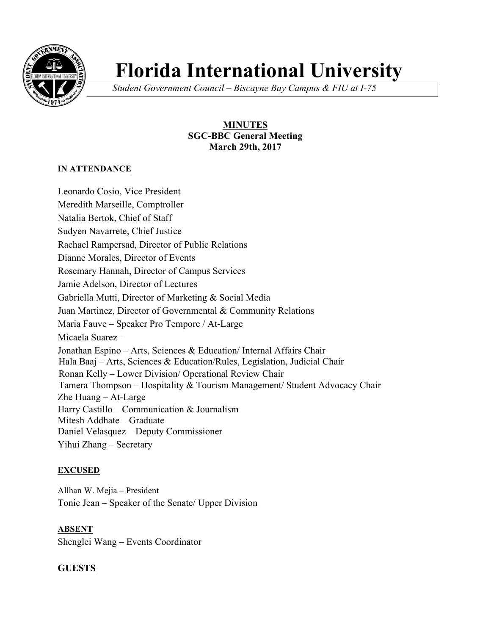

# **Florida International University**

*Student Government Council – Biscayne Bay Campus & FIU at I-75*

# **MINUTES SGC-BBC General Meeting March 29th, 2017**

# **IN ATTENDANCE**

Leonardo Cosio, Vice President Meredith Marseille, Comptroller Natalia Bertok, Chief of Staff Sudyen Navarrete, Chief Justice Rachael Rampersad, Director of Public Relations Dianne Morales, Director of Events Rosemary Hannah, Director of Campus Services Jamie Adelson, Director of Lectures Gabriella Mutti, Director of Marketing & Social Media Juan Martinez, Director of Governmental & Community Relations Maria Fauve – Speaker Pro Tempore / At-Large Micaela Suarez – Jonathan Espino – Arts, Sciences & Education/ Internal Affairs Chair Hala Baaj – Arts, Sciences & Education/Rules, Legislation, Judicial Chair Ronan Kelly – Lower Division/ Operational Review Chair Tamera Thompson – Hospitality & Tourism Management/ Student Advocacy Chair Zhe Huang – At-Large Harry Castillo – Communication & Journalism Mitesh Addhate – Graduate Daniel Velasquez – Deputy Commissioner Yihui Zhang – Secretary

# **EXCUSED**

Allhan W. Mejia – President Tonie Jean – Speaker of the Senate/ Upper Division

**ABSENT** Shenglei Wang – Events Coordinator

# **GUESTS**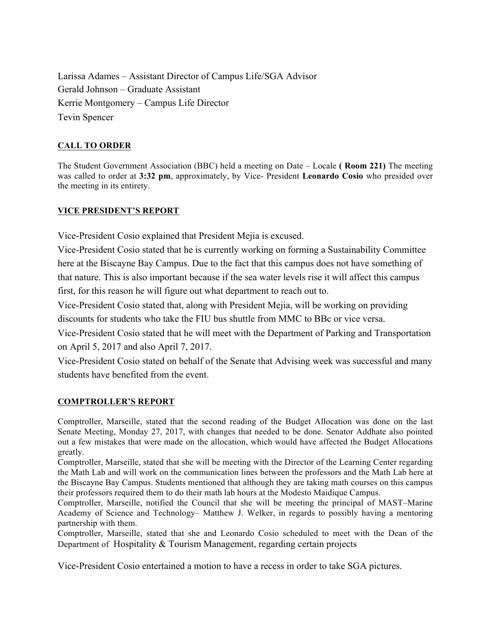Larissa Adames – Assistant Director of Campus Life/SGA Advisor Gerald Johnson – Graduate Assistant Kerrie Montgomery – Campus Life Director Tevin Spencer

# **CALL TO ORDER**

The Student Government Association (BBC) held a meeting on Date – Locale **( Room 221)** The meeting was called to order at **3:32 pm**, approximately, by Vice- President **Leonardo Cosio** who presided over the meeting in its entirety.

## **VICE PRESIDENT'S REPORT**

Vice-President Cosio explained that President Mejia is excused.

Vice-President Cosio stated that he is currently working on forming a Sustainability Committee here at the Biscayne Bay Campus. Due to the fact that this campus does not have something of that nature. This is also important because if the sea water levels rise it will affect this campus first, for this reason he will figure out what department to reach out to.

Vice-President Cosio stated that, along with President Mejia, will be working on providing discounts for students who take the FIU bus shuttle from MMC to BBc or vice versa.

Vice-President Cosio stated that he will meet with the Department of Parking and Transportation on April 5, 2017 and also April 7, 2017.

Vice-President Cosio stated on behalf of the Senate that Advising week was successful and many students have benefited from the event.

# **COMPTROLLER'S REPORT**

Comptroller, Marseille, stated that the second reading of the Budget Allocation was done on the last Senate Meeting, Monday 27, 2017, with changes that needed to be done. Senator Addhate also pointed out a few mistakes that were made on the allocation, which would have affected the Budget Allocations greatly.

Comptroller, Marseille, stated that she will be meeting with the Director of the Learning Center regarding the Math Lab and will work on the communication lines between the professors and the Math Lab here at the Biscayne Bay Campus. Students mentioned that although they are taking math courses on this campus their professors required them to do their math lab hours at the Modesto Maidique Campus.

Comptroller, Marseille, notified the Council that she will be meeting the principal of MAST–Marine Academy of Science and Technology– Matthew J. Welker, in regards to possibly having a mentoring partnership with them.

Comptroller, Marseille, stated that she and Leonardo Cosio scheduled to meet with the Dean of the Department of Hospitality & Tourism Management, regarding certain projects

Vice-President Cosio entertained a motion to have a recess in order to take SGA pictures.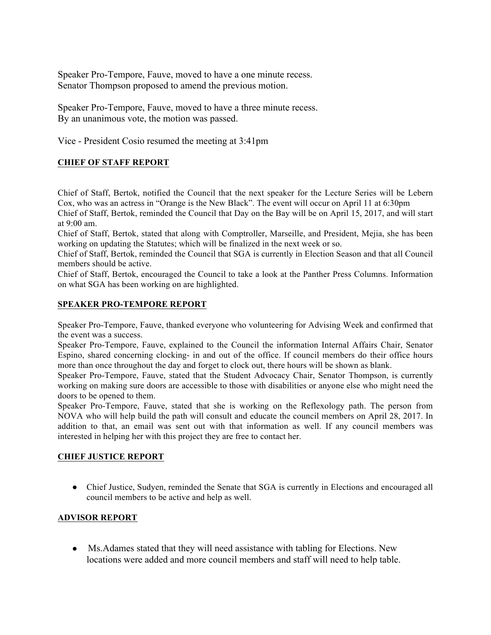Speaker Pro-Tempore, Fauve, moved to have a one minute recess. Senator Thompson proposed to amend the previous motion.

Speaker Pro-Tempore, Fauve, moved to have a three minute recess. By an unanimous vote, the motion was passed.

Vice - President Cosio resumed the meeting at 3:41pm

## **CHIEF OF STAFF REPORT**

Chief of Staff, Bertok, notified the Council that the next speaker for the Lecture Series will be Lebern Cox, who was an actress in "Orange is the New Black". The event will occur on April 11 at 6:30pm Chief of Staff, Bertok, reminded the Council that Day on the Bay will be on April 15, 2017, and will start at  $9.00$  am.

Chief of Staff, Bertok, stated that along with Comptroller, Marseille, and President, Mejia, she has been working on updating the Statutes; which will be finalized in the next week or so.

Chief of Staff, Bertok, reminded the Council that SGA is currently in Election Season and that all Council members should be active.

Chief of Staff, Bertok, encouraged the Council to take a look at the Panther Press Columns. Information on what SGA has been working on are highlighted.

#### **SPEAKER PRO-TEMPORE REPORT**

Speaker Pro-Tempore, Fauve, thanked everyone who volunteering for Advising Week and confirmed that the event was a success.

Speaker Pro-Tempore, Fauve, explained to the Council the information Internal Affairs Chair, Senator Espino, shared concerning clocking- in and out of the office. If council members do their office hours more than once throughout the day and forget to clock out, there hours will be shown as blank.

Speaker Pro-Tempore, Fauve, stated that the Student Advocacy Chair, Senator Thompson, is currently working on making sure doors are accessible to those with disabilities or anyone else who might need the doors to be opened to them.

Speaker Pro-Tempore, Fauve, stated that she is working on the Reflexology path. The person from NOVA who will help build the path will consult and educate the council members on April 28, 2017. In addition to that, an email was sent out with that information as well. If any council members was interested in helping her with this project they are free to contact her.

#### **CHIEF JUSTICE REPORT**

• Chief Justice, Sudyen, reminded the Senate that SGA is currently in Elections and encouraged all council members to be active and help as well.

#### **ADVISOR REPORT**

● Ms.Adames stated that they will need assistance with tabling for Elections. New locations were added and more council members and staff will need to help table.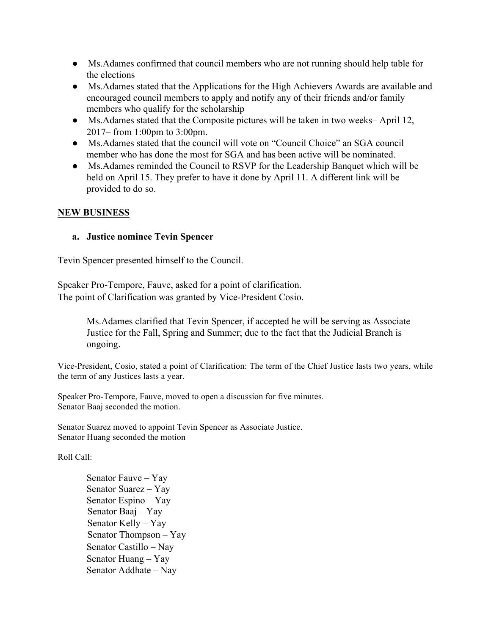- Ms.Adames confirmed that council members who are not running should help table for the elections
- Ms.Adames stated that the Applications for the High Achievers Awards are available and encouraged council members to apply and notify any of their friends and/or family members who qualify for the scholarship
- Ms. Adames stated that the Composite pictures will be taken in two weeks– April 12, 2017– from 1:00pm to 3:00pm.
- Ms.Adames stated that the council will vote on "Council Choice" an SGA council member who has done the most for SGA and has been active will be nominated.
- Ms.Adames reminded the Council to RSVP for the Leadership Banquet which will be held on April 15. They prefer to have it done by April 11. A different link will be provided to do so.

# **NEW BUSINESS**

# **a. Justice nominee Tevin Spencer**

Tevin Spencer presented himself to the Council.

Speaker Pro-Tempore, Fauve, asked for a point of clarification. The point of Clarification was granted by Vice-President Cosio.

> Ms.Adames clarified that Tevin Spencer, if accepted he will be serving as Associate Justice for the Fall, Spring and Summer; due to the fact that the Judicial Branch is ongoing.

Vice-President, Cosio, stated a point of Clarification: The term of the Chief Justice lasts two years, while the term of any Justices lasts a year.

Speaker Pro-Tempore, Fauve, moved to open a discussion for five minutes. Senator Baaj seconded the motion.

Senator Suarez moved to appoint Tevin Spencer as Associate Justice. Senator Huang seconded the motion

Roll Call:

Senator Fauve – Yay Senator Suarez – Yay Senator Espino – Yay Senator Baaj – Yay Senator Kelly – Yay Senator Thompson – Yay Senator Castillo – Nay Senator Huang – Yay Senator Addhate – Nay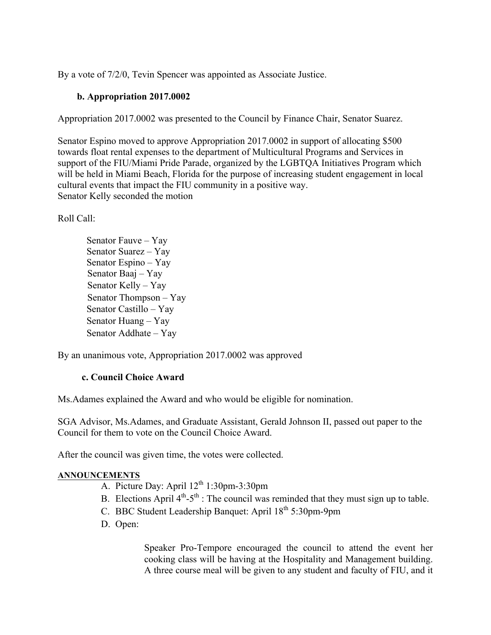By a vote of 7/2/0, Tevin Spencer was appointed as Associate Justice.

# **b. Appropriation 2017.0002**

Appropriation 2017.0002 was presented to the Council by Finance Chair, Senator Suarez.

Senator Espino moved to approve Appropriation 2017.0002 in support of allocating \$500 towards float rental expenses to the department of Multicultural Programs and Services in support of the FIU/Miami Pride Parade, organized by the LGBTQA Initiatives Program which will be held in Miami Beach, Florida for the purpose of increasing student engagement in local cultural events that impact the FIU community in a positive way. Senator Kelly seconded the motion

Roll Call:

Senator Fauve – Yay Senator Suarez – Yay Senator Espino – Yay Senator Baaj – Yay Senator Kelly – Yay Senator Thompson – Yay Senator Castillo – Yay Senator Huang – Yay Senator Addhate – Yay

By an unanimous vote, Appropriation 2017.0002 was approved

# **c. Council Choice Award**

Ms.Adames explained the Award and who would be eligible for nomination.

SGA Advisor, Ms.Adames, and Graduate Assistant, Gerald Johnson II, passed out paper to the Council for them to vote on the Council Choice Award.

After the council was given time, the votes were collected.

#### **ANNOUNCEMENTS**

- A. Picture Day: April  $12^{th}$  1:30pm-3:30pm
- B. Elections April  $4<sup>th</sup> 5<sup>th</sup>$ : The council was reminded that they must sign up to table.
- C. BBC Student Leadership Banquet: April 18<sup>th</sup> 5:30pm-9pm
- D. Open:

Speaker Pro-Tempore encouraged the council to attend the event her cooking class will be having at the Hospitality and Management building. A three course meal will be given to any student and faculty of FIU, and it